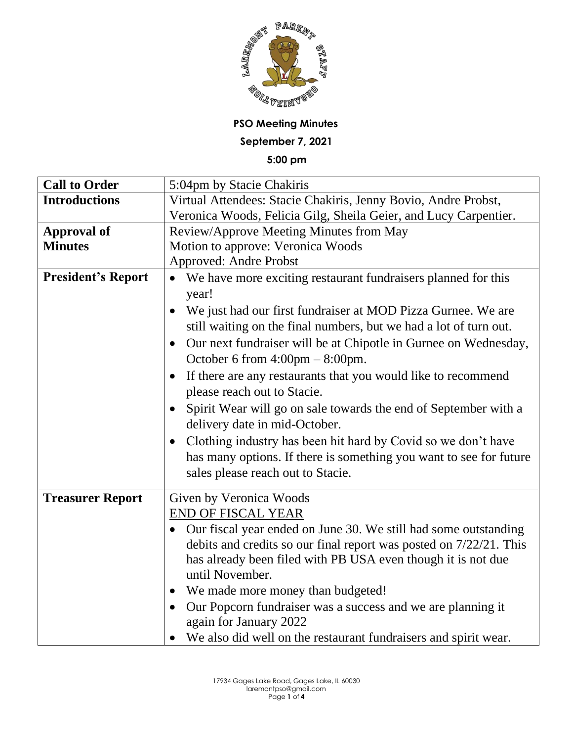

**PSO Meeting Minutes September 7, 2021**

**5:00 pm**

| <b>Call to Order</b>      | 5:04pm by Stacie Chakiris                                                    |
|---------------------------|------------------------------------------------------------------------------|
| <b>Introductions</b>      | Virtual Attendees: Stacie Chakiris, Jenny Bovio, Andre Probst,               |
|                           | Veronica Woods, Felicia Gilg, Sheila Geier, and Lucy Carpentier.             |
| <b>Approval of</b>        | Review/Approve Meeting Minutes from May                                      |
| <b>Minutes</b>            | Motion to approve: Veronica Woods                                            |
|                           | <b>Approved: Andre Probst</b>                                                |
| <b>President's Report</b> | • We have more exciting restaurant fundraisers planned for this              |
|                           | year!                                                                        |
|                           | We just had our first fundraiser at MOD Pizza Gurnee. We are                 |
|                           | still waiting on the final numbers, but we had a lot of turn out.            |
|                           | Our next fundraiser will be at Chipotle in Gurnee on Wednesday,<br>$\bullet$ |
|                           | October 6 from $4:00 \text{pm} - 8:00 \text{pm}$ .                           |
|                           | If there are any restaurants that you would like to recommend                |
|                           | please reach out to Stacie.                                                  |
|                           | Spirit Wear will go on sale towards the end of September with a              |
|                           | delivery date in mid-October.                                                |
|                           | Clothing industry has been hit hard by Covid so we don't have                |
|                           | has many options. If there is something you want to see for future           |
|                           | sales please reach out to Stacie.                                            |
|                           |                                                                              |
| <b>Treasurer Report</b>   | Given by Veronica Woods                                                      |
|                           | <b>END OF FISCAL YEAR</b>                                                    |
|                           | Our fiscal year ended on June 30. We still had some outstanding              |
|                           | debits and credits so our final report was posted on 7/22/21. This           |
|                           | has already been filed with PB USA even though it is not due                 |
|                           | until November.                                                              |
|                           | • We made more money than budgeted!                                          |
|                           | Our Popcorn fundraiser was a success and we are planning it<br>$\bullet$     |
|                           | again for January 2022                                                       |
|                           | • We also did well on the restaurant fundraisers and spirit wear.            |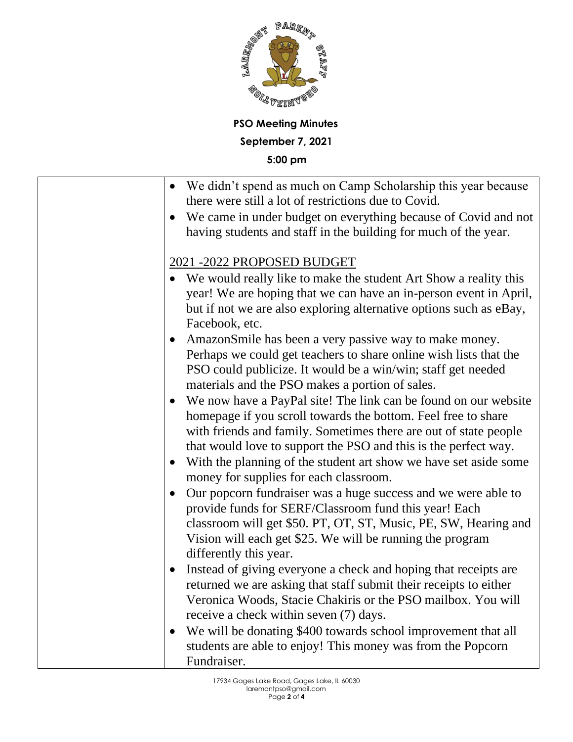

**PSO Meeting Minutes September 7, 2021 5:00 pm**

| • We didn't spend as much on Camp Scholarship this year because<br>there were still a lot of restrictions due to Covid.                                                                                                                                                                       |
|-----------------------------------------------------------------------------------------------------------------------------------------------------------------------------------------------------------------------------------------------------------------------------------------------|
| We came in under budget on everything because of Covid and not<br>$\bullet$<br>having students and staff in the building for much of the year.                                                                                                                                                |
| 2021 -2022 PROPOSED BUDGET                                                                                                                                                                                                                                                                    |
| We would really like to make the student Art Show a reality this<br>year! We are hoping that we can have an in-person event in April,<br>but if not we are also exploring alternative options such as eBay,<br>Facebook, etc.                                                                 |
| AmazonSmile has been a very passive way to make money.<br>Perhaps we could get teachers to share online wish lists that the<br>PSO could publicize. It would be a win/win; staff get needed<br>materials and the PSO makes a portion of sales.                                                |
| • We now have a PayPal site! The link can be found on our website<br>homepage if you scroll towards the bottom. Feel free to share<br>with friends and family. Sometimes there are out of state people<br>that would love to support the PSO and this is the perfect way.                     |
| With the planning of the student art show we have set aside some<br>money for supplies for each classroom.                                                                                                                                                                                    |
| Our popcorn fundraiser was a huge success and we were able to<br>$\bullet$<br>provide funds for SERF/Classroom fund this year! Each<br>classroom will get \$50. PT, OT, ST, Music, PE, SW, Hearing and<br>Vision will each get \$25. We will be running the program<br>differently this year. |
| Instead of giving everyone a check and hoping that receipts are<br>$\bullet$<br>returned we are asking that staff submit their receipts to either<br>Veronica Woods, Stacie Chakiris or the PSO mailbox. You will<br>receive a check within seven (7) days.                                   |
| We will be donating \$400 towards school improvement that all<br>students are able to enjoy! This money was from the Popcorn<br>Fundraiser.                                                                                                                                                   |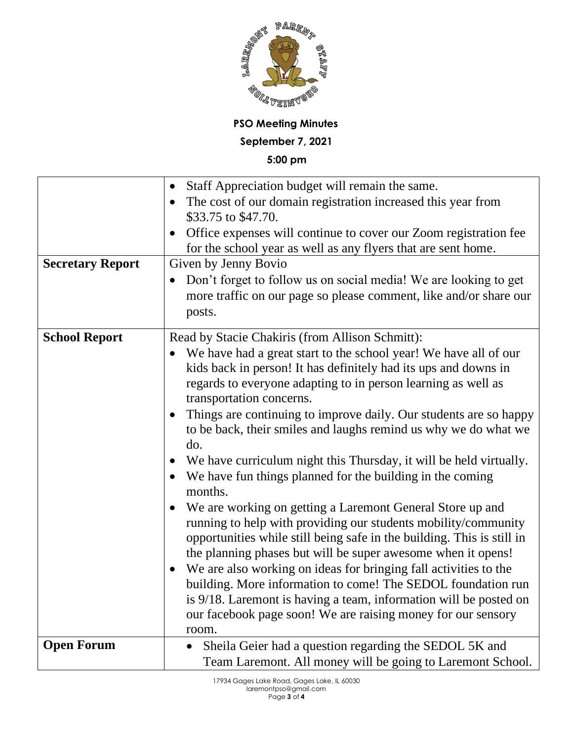

**PSO Meeting Minutes September 7, 2021**

**5:00 pm**

|                         | Staff Appreciation budget will remain the same.<br>$\bullet$                    |
|-------------------------|---------------------------------------------------------------------------------|
|                         | The cost of our domain registration increased this year from<br>$\bullet$       |
|                         | \$33.75 to \$47.70.                                                             |
|                         | Office expenses will continue to cover our Zoom registration fee                |
|                         | for the school year as well as any flyers that are sent home.                   |
| <b>Secretary Report</b> | Given by Jenny Bovio                                                            |
|                         | Don't forget to follow us on social media! We are looking to get<br>$\bullet$   |
|                         | more traffic on our page so please comment, like and/or share our               |
|                         | posts.                                                                          |
| <b>School Report</b>    | Read by Stacie Chakiris (from Allison Schmitt):                                 |
|                         | We have had a great start to the school year! We have all of our                |
|                         | kids back in person! It has definitely had its ups and downs in                 |
|                         | regards to everyone adapting to in person learning as well as                   |
|                         | transportation concerns.                                                        |
|                         | Things are continuing to improve daily. Our students are so happy               |
|                         | to be back, their smiles and laughs remind us why we do what we                 |
|                         | do.                                                                             |
|                         | We have curriculum night this Thursday, it will be held virtually.<br>$\bullet$ |
|                         | We have fun things planned for the building in the coming<br>months.            |
|                         | We are working on getting a Laremont General Store up and<br>$\bullet$          |
|                         | running to help with providing our students mobility/community                  |
|                         | opportunities while still being safe in the building. This is still in          |
|                         | the planning phases but will be super awesome when it opens!                    |
|                         | We are also working on ideas for bringing fall activities to the                |
|                         | building. More information to come! The SEDOL foundation run                    |
|                         | is 9/18. Laremont is having a team, information will be posted on               |
|                         | our facebook page soon! We are raising money for our sensory                    |
|                         | room.                                                                           |
| <b>Open Forum</b>       | Sheila Geier had a question regarding the SEDOL 5K and<br>$\bullet$             |
|                         | Team Laremont. All money will be going to Laremont School.                      |